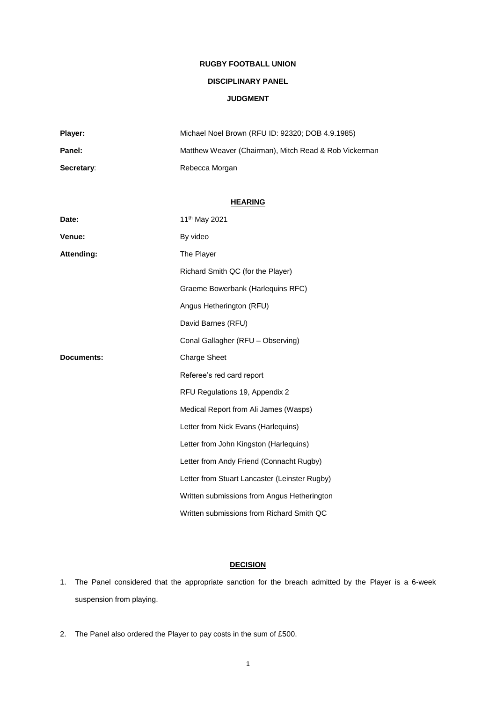# **RUGBY FOOTBALL UNION**

# **DISCIPLINARY PANEL**

### **JUDGMENT**

| Player:    | Michael Noel Brown (RFU ID: 92320; DOB 4.9.1985)      |
|------------|-------------------------------------------------------|
| Panel:     | Matthew Weaver (Chairman), Mitch Read & Rob Vickerman |
| Secretary: | Rebecca Morgan                                        |

### **HEARING**

| Date:      | 11 <sup>th</sup> May 2021                     |
|------------|-----------------------------------------------|
| Venue:     | By video                                      |
| Attending: | The Player                                    |
|            | Richard Smith QC (for the Player)             |
|            | Graeme Bowerbank (Harlequins RFC)             |
|            | Angus Hetherington (RFU)                      |
|            | David Barnes (RFU)                            |
|            | Conal Gallagher (RFU - Observing)             |
| Documents: | <b>Charge Sheet</b>                           |
|            | Referee's red card report                     |
|            | RFU Regulations 19, Appendix 2                |
|            | Medical Report from Ali James (Wasps)         |
|            | Letter from Nick Evans (Harlequins)           |
|            | Letter from John Kingston (Harlequins)        |
|            | Letter from Andy Friend (Connacht Rugby)      |
|            | Letter from Stuart Lancaster (Leinster Rugby) |
|            | Written submissions from Angus Hetherington   |
|            | Written submissions from Richard Smith QC     |

# **DECISION**

- 1. The Panel considered that the appropriate sanction for the breach admitted by the Player is a 6-week suspension from playing.
- 2. The Panel also ordered the Player to pay costs in the sum of £500.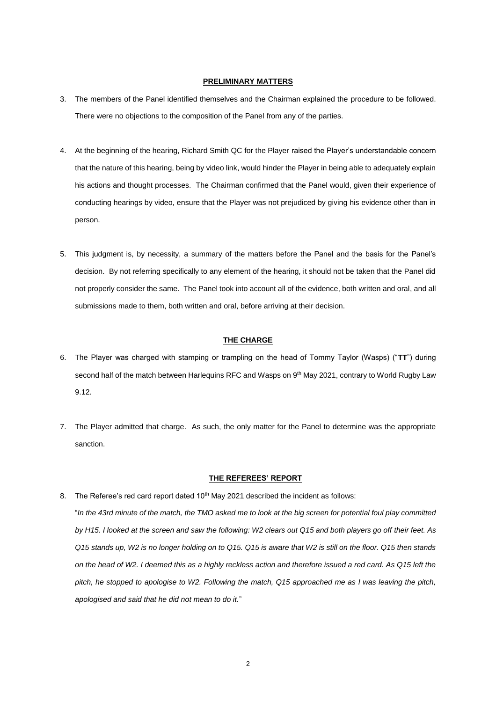### **PRELIMINARY MATTERS**

- 3. The members of the Panel identified themselves and the Chairman explained the procedure to be followed. There were no objections to the composition of the Panel from any of the parties.
- 4. At the beginning of the hearing, Richard Smith QC for the Player raised the Player's understandable concern that the nature of this hearing, being by video link, would hinder the Player in being able to adequately explain his actions and thought processes. The Chairman confirmed that the Panel would, given their experience of conducting hearings by video, ensure that the Player was not prejudiced by giving his evidence other than in person.
- 5. This judgment is, by necessity, a summary of the matters before the Panel and the basis for the Panel's decision. By not referring specifically to any element of the hearing, it should not be taken that the Panel did not properly consider the same. The Panel took into account all of the evidence, both written and oral, and all submissions made to them, both written and oral, before arriving at their decision.

#### **THE CHARGE**

- 6. The Player was charged with stamping or trampling on the head of Tommy Taylor (Wasps) ("**TT**") during second half of the match between Harlequins RFC and Wasps on 9<sup>th</sup> May 2021, contrary to World Rugby Law 9.12.
- 7. The Player admitted that charge. As such, the only matter for the Panel to determine was the appropriate sanction.

### **THE REFEREES' REPORT**

- 8. The Referee's red card report dated 10<sup>th</sup> May 2021 described the incident as follows: "*In the 43rd minute of the match, the TMO asked me to look at the big screen for potential foul play committed by H15. I looked at the screen and saw the following: W2 clears out Q15 and both players go off their feet. As Q15 stands up, W2 is no longer holding on to Q15. Q15 is aware that W2 is still on the floor. Q15 then stands* 
	- *on the head of W2. I deemed this as a highly reckless action and therefore issued a red card. As Q15 left the pitch, he stopped to apologise to W2. Following the match, Q15 approached me as I was leaving the pitch, apologised and said that he did not mean to do it.*"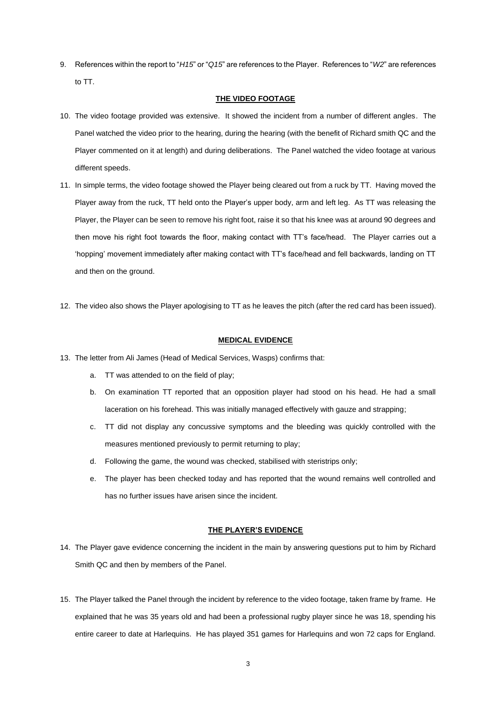9. References within the report to "*H15*" or "*Q15*" are references to the Player. References to "*W2*" are references to TT.

### **THE VIDEO FOOTAGE**

- 10. The video footage provided was extensive. It showed the incident from a number of different angles. The Panel watched the video prior to the hearing, during the hearing (with the benefit of Richard smith QC and the Player commented on it at length) and during deliberations. The Panel watched the video footage at various different speeds.
- 11. In simple terms, the video footage showed the Player being cleared out from a ruck by TT. Having moved the Player away from the ruck, TT held onto the Player's upper body, arm and left leg. As TT was releasing the Player, the Player can be seen to remove his right foot, raise it so that his knee was at around 90 degrees and then move his right foot towards the floor, making contact with TT's face/head. The Player carries out a 'hopping' movement immediately after making contact with TT's face/head and fell backwards, landing on TT and then on the ground.
- 12. The video also shows the Player apologising to TT as he leaves the pitch (after the red card has been issued).

### **MEDICAL EVIDENCE**

- 13. The letter from Ali James (Head of Medical Services, Wasps) confirms that:
	- a. TT was attended to on the field of play;
	- b. On examination TT reported that an opposition player had stood on his head. He had a small laceration on his forehead. This was initially managed effectively with gauze and strapping;
	- c. TT did not display any concussive symptoms and the bleeding was quickly controlled with the measures mentioned previously to permit returning to play;
	- d. Following the game, the wound was checked, stabilised with steristrips only;
	- e. The player has been checked today and has reported that the wound remains well controlled and has no further issues have arisen since the incident.

### **THE PLAYER'S EVIDENCE**

- 14. The Player gave evidence concerning the incident in the main by answering questions put to him by Richard Smith QC and then by members of the Panel.
- 15. The Player talked the Panel through the incident by reference to the video footage, taken frame by frame. He explained that he was 35 years old and had been a professional rugby player since he was 18, spending his entire career to date at Harlequins. He has played 351 games for Harlequins and won 72 caps for England.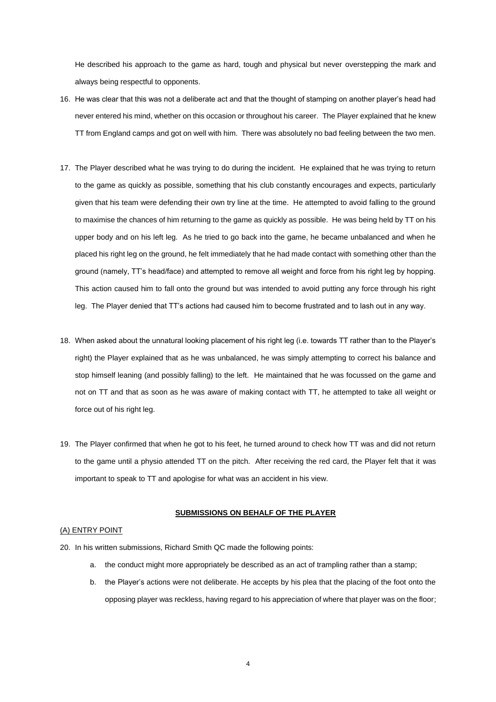He described his approach to the game as hard, tough and physical but never overstepping the mark and always being respectful to opponents.

- 16. He was clear that this was not a deliberate act and that the thought of stamping on another player's head had never entered his mind, whether on this occasion or throughout his career. The Player explained that he knew TT from England camps and got on well with him. There was absolutely no bad feeling between the two men.
- 17. The Player described what he was trying to do during the incident. He explained that he was trying to return to the game as quickly as possible, something that his club constantly encourages and expects, particularly given that his team were defending their own try line at the time. He attempted to avoid falling to the ground to maximise the chances of him returning to the game as quickly as possible. He was being held by TT on his upper body and on his left leg. As he tried to go back into the game, he became unbalanced and when he placed his right leg on the ground, he felt immediately that he had made contact with something other than the ground (namely, TT's head/face) and attempted to remove all weight and force from his right leg by hopping. This action caused him to fall onto the ground but was intended to avoid putting any force through his right leg. The Player denied that TT's actions had caused him to become frustrated and to lash out in any way.
- 18. When asked about the unnatural looking placement of his right leg (i.e. towards TT rather than to the Player's right) the Player explained that as he was unbalanced, he was simply attempting to correct his balance and stop himself leaning (and possibly falling) to the left. He maintained that he was focussed on the game and not on TT and that as soon as he was aware of making contact with TT, he attempted to take all weight or force out of his right leg.
- 19. The Player confirmed that when he got to his feet, he turned around to check how TT was and did not return to the game until a physio attended TT on the pitch. After receiving the red card, the Player felt that it was important to speak to TT and apologise for what was an accident in his view.

### **SUBMISSIONS ON BEHALF OF THE PLAYER**

### (A) ENTRY POINT

- 20. In his written submissions, Richard Smith QC made the following points:
	- a. the conduct might more appropriately be described as an act of trampling rather than a stamp;
	- b. the Player's actions were not deliberate. He accepts by his plea that the placing of the foot onto the opposing player was reckless, having regard to his appreciation of where that player was on the floor;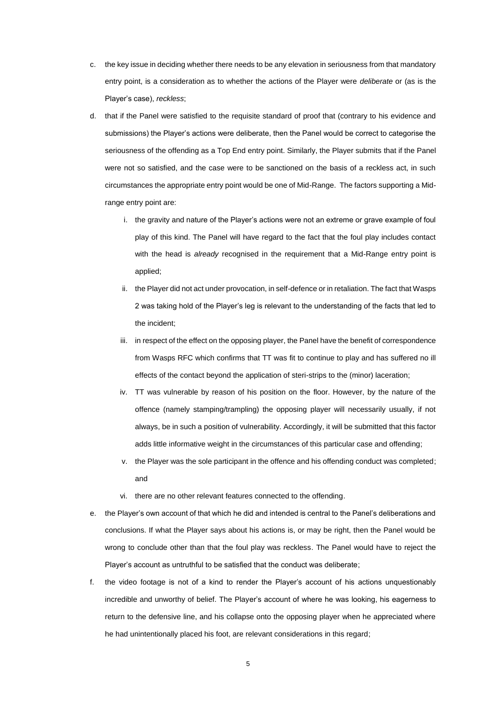- c. the key issue in deciding whether there needs to be any elevation in seriousness from that mandatory entry point, is a consideration as to whether the actions of the Player were *deliberate* or (as is the Player's case), *reckless*;
- d. that if the Panel were satisfied to the requisite standard of proof that (contrary to his evidence and submissions) the Player's actions were deliberate, then the Panel would be correct to categorise the seriousness of the offending as a Top End entry point. Similarly, the Player submits that if the Panel were not so satisfied, and the case were to be sanctioned on the basis of a reckless act, in such circumstances the appropriate entry point would be one of Mid-Range. The factors supporting a Midrange entry point are:
	- i. the gravity and nature of the Player's actions were not an extreme or grave example of foul play of this kind. The Panel will have regard to the fact that the foul play includes contact with the head is *already* recognised in the requirement that a Mid-Range entry point is applied;
	- ii. the Player did not act under provocation, in self-defence or in retaliation. The fact that Wasps 2 was taking hold of the Player's leg is relevant to the understanding of the facts that led to the incident;
	- iii. in respect of the effect on the opposing player, the Panel have the benefit of correspondence from Wasps RFC which confirms that TT was fit to continue to play and has suffered no ill effects of the contact beyond the application of steri-strips to the (minor) laceration;
	- iv. TT was vulnerable by reason of his position on the floor. However, by the nature of the offence (namely stamping/trampling) the opposing player will necessarily usually, if not always, be in such a position of vulnerability. Accordingly, it will be submitted that this factor adds little informative weight in the circumstances of this particular case and offending;
	- v. the Player was the sole participant in the offence and his offending conduct was completed; and
	- vi. there are no other relevant features connected to the offending.
- e. the Player's own account of that which he did and intended is central to the Panel's deliberations and conclusions. If what the Player says about his actions is, or may be right, then the Panel would be wrong to conclude other than that the foul play was reckless. The Panel would have to reject the Player's account as untruthful to be satisfied that the conduct was deliberate;
- f. the video footage is not of a kind to render the Player's account of his actions unquestionably incredible and unworthy of belief. The Player's account of where he was looking, his eagerness to return to the defensive line, and his collapse onto the opposing player when he appreciated where he had unintentionally placed his foot, are relevant considerations in this regard;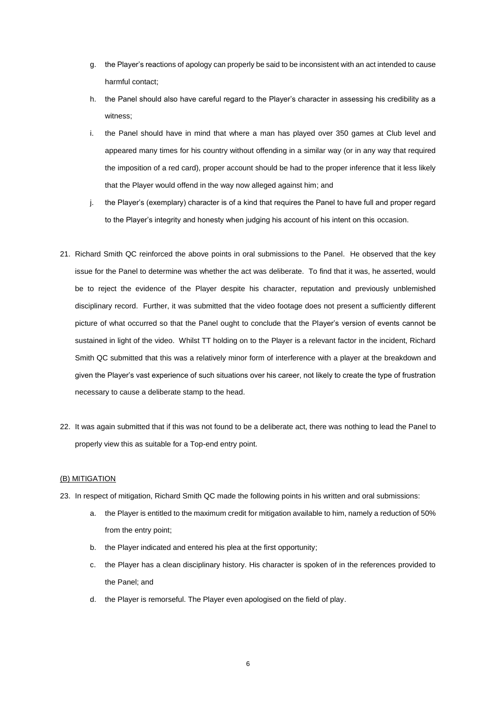- g. the Player's reactions of apology can properly be said to be inconsistent with an act intended to cause harmful contact;
- h. the Panel should also have careful regard to the Player's character in assessing his credibility as a witness;
- i. the Panel should have in mind that where a man has played over 350 games at Club level and appeared many times for his country without offending in a similar way (or in any way that required the imposition of a red card), proper account should be had to the proper inference that it less likely that the Player would offend in the way now alleged against him; and
- j. the Player's (exemplary) character is of a kind that requires the Panel to have full and proper regard to the Player's integrity and honesty when judging his account of his intent on this occasion.
- 21. Richard Smith QC reinforced the above points in oral submissions to the Panel. He observed that the key issue for the Panel to determine was whether the act was deliberate. To find that it was, he asserted, would be to reject the evidence of the Player despite his character, reputation and previously unblemished disciplinary record. Further, it was submitted that the video footage does not present a sufficiently different picture of what occurred so that the Panel ought to conclude that the Player's version of events cannot be sustained in light of the video. Whilst TT holding on to the Player is a relevant factor in the incident, Richard Smith QC submitted that this was a relatively minor form of interference with a player at the breakdown and given the Player's vast experience of such situations over his career, not likely to create the type of frustration necessary to cause a deliberate stamp to the head.
- 22. It was again submitted that if this was not found to be a deliberate act, there was nothing to lead the Panel to properly view this as suitable for a Top-end entry point.

### (B) MITIGATION

- 23. In respect of mitigation, Richard Smith QC made the following points in his written and oral submissions:
	- a. the Player is entitled to the maximum credit for mitigation available to him, namely a reduction of 50% from the entry point;
	- b. the Player indicated and entered his plea at the first opportunity;
	- c. the Player has a clean disciplinary history. His character is spoken of in the references provided to the Panel; and
	- d. the Player is remorseful. The Player even apologised on the field of play.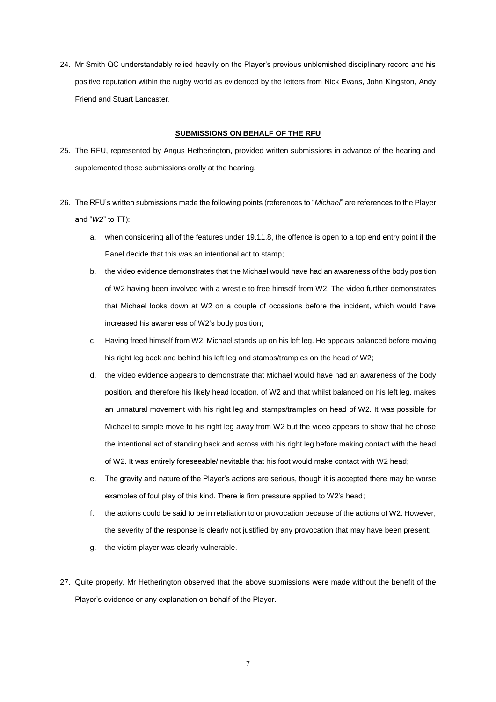24. Mr Smith QC understandably relied heavily on the Player's previous unblemished disciplinary record and his positive reputation within the rugby world as evidenced by the letters from Nick Evans, John Kingston, Andy Friend and Stuart Lancaster.

### **SUBMISSIONS ON BEHALF OF THE RFU**

- 25. The RFU, represented by Angus Hetherington, provided written submissions in advance of the hearing and supplemented those submissions orally at the hearing.
- 26. The RFU's written submissions made the following points (references to "*Michael*" are references to the Player and "*W2*" to TT):
	- a. when considering all of the features under 19.11.8, the offence is open to a top end entry point if the Panel decide that this was an intentional act to stamp;
	- b. the video evidence demonstrates that the Michael would have had an awareness of the body position of W2 having been involved with a wrestle to free himself from W2. The video further demonstrates that Michael looks down at W2 on a couple of occasions before the incident, which would have increased his awareness of W2's body position;
	- c. Having freed himself from W2, Michael stands up on his left leg. He appears balanced before moving his right leg back and behind his left leg and stamps/tramples on the head of W2;
	- d. the video evidence appears to demonstrate that Michael would have had an awareness of the body position, and therefore his likely head location, of W2 and that whilst balanced on his left leg, makes an unnatural movement with his right leg and stamps/tramples on head of W2. It was possible for Michael to simple move to his right leg away from W2 but the video appears to show that he chose the intentional act of standing back and across with his right leg before making contact with the head of W2. It was entirely foreseeable/inevitable that his foot would make contact with W2 head;
	- e. The gravity and nature of the Player's actions are serious, though it is accepted there may be worse examples of foul play of this kind. There is firm pressure applied to W2's head;
	- f. the actions could be said to be in retaliation to or provocation because of the actions of W2. However, the severity of the response is clearly not justified by any provocation that may have been present;
	- g. the victim player was clearly vulnerable.
- 27. Quite properly, Mr Hetherington observed that the above submissions were made without the benefit of the Player's evidence or any explanation on behalf of the Player.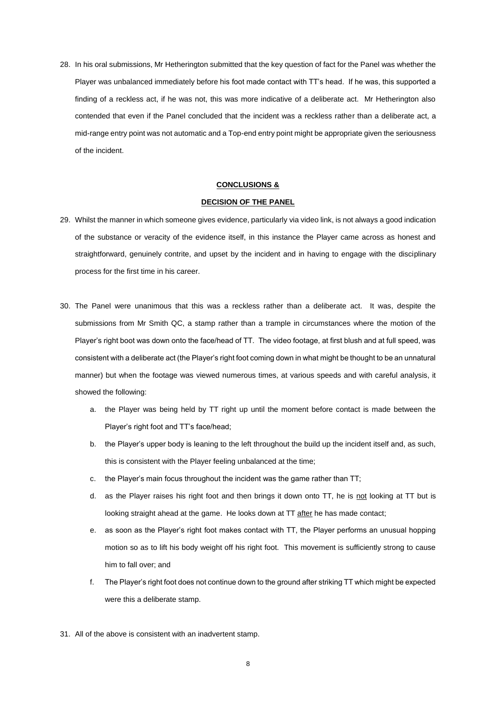28. In his oral submissions, Mr Hetherington submitted that the key question of fact for the Panel was whether the Player was unbalanced immediately before his foot made contact with TT's head. If he was, this supported a finding of a reckless act, if he was not, this was more indicative of a deliberate act. Mr Hetherington also contended that even if the Panel concluded that the incident was a reckless rather than a deliberate act, a mid-range entry point was not automatic and a Top-end entry point might be appropriate given the seriousness of the incident.

#### **CONCLUSIONS &**

#### **DECISION OF THE PANEL**

- 29. Whilst the manner in which someone gives evidence, particularly via video link, is not always a good indication of the substance or veracity of the evidence itself, in this instance the Player came across as honest and straightforward, genuinely contrite, and upset by the incident and in having to engage with the disciplinary process for the first time in his career.
- 30. The Panel were unanimous that this was a reckless rather than a deliberate act. It was, despite the submissions from Mr Smith QC, a stamp rather than a trample in circumstances where the motion of the Player's right boot was down onto the face/head of TT. The video footage, at first blush and at full speed, was consistent with a deliberate act (the Player's right foot coming down in what might be thought to be an unnatural manner) but when the footage was viewed numerous times, at various speeds and with careful analysis, it showed the following:
	- a. the Player was being held by TT right up until the moment before contact is made between the Player's right foot and TT's face/head;
	- b. the Player's upper body is leaning to the left throughout the build up the incident itself and, as such, this is consistent with the Player feeling unbalanced at the time;
	- c. the Player's main focus throughout the incident was the game rather than TT;
	- d. as the Player raises his right foot and then brings it down onto TT, he is not looking at TT but is looking straight ahead at the game. He looks down at TT after he has made contact;
	- e. as soon as the Player's right foot makes contact with TT, the Player performs an unusual hopping motion so as to lift his body weight off his right foot. This movement is sufficiently strong to cause him to fall over; and
	- f. The Player's right foot does not continue down to the ground after striking TT which might be expected were this a deliberate stamp.
- 31. All of the above is consistent with an inadvertent stamp.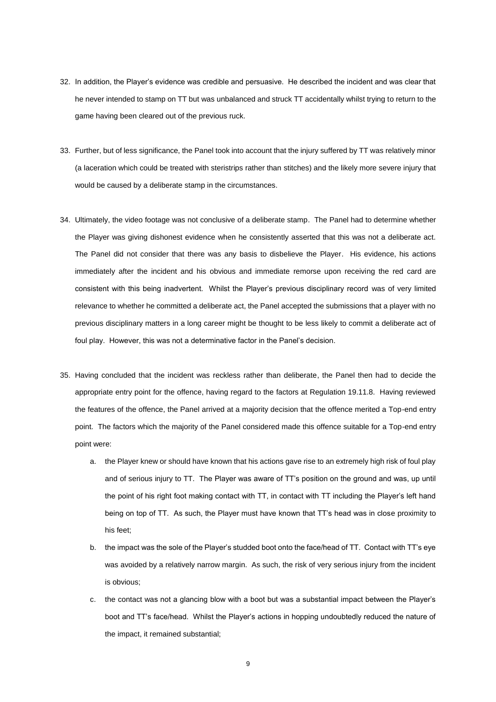- 32. In addition, the Player's evidence was credible and persuasive. He described the incident and was clear that he never intended to stamp on TT but was unbalanced and struck TT accidentally whilst trying to return to the game having been cleared out of the previous ruck.
- 33. Further, but of less significance, the Panel took into account that the injury suffered by TT was relatively minor (a laceration which could be treated with steristrips rather than stitches) and the likely more severe injury that would be caused by a deliberate stamp in the circumstances.
- 34. Ultimately, the video footage was not conclusive of a deliberate stamp. The Panel had to determine whether the Player was giving dishonest evidence when he consistently asserted that this was not a deliberate act. The Panel did not consider that there was any basis to disbelieve the Player. His evidence, his actions immediately after the incident and his obvious and immediate remorse upon receiving the red card are consistent with this being inadvertent. Whilst the Player's previous disciplinary record was of very limited relevance to whether he committed a deliberate act, the Panel accepted the submissions that a player with no previous disciplinary matters in a long career might be thought to be less likely to commit a deliberate act of foul play. However, this was not a determinative factor in the Panel's decision.
- 35. Having concluded that the incident was reckless rather than deliberate, the Panel then had to decide the appropriate entry point for the offence, having regard to the factors at Regulation 19.11.8. Having reviewed the features of the offence, the Panel arrived at a majority decision that the offence merited a Top-end entry point. The factors which the majority of the Panel considered made this offence suitable for a Top-end entry point were:
	- a. the Player knew or should have known that his actions gave rise to an extremely high risk of foul play and of serious injury to TT. The Player was aware of TT's position on the ground and was, up until the point of his right foot making contact with TT, in contact with TT including the Player's left hand being on top of TT. As such, the Player must have known that TT's head was in close proximity to his feet;
	- b. the impact was the sole of the Player's studded boot onto the face/head of TT. Contact with TT's eye was avoided by a relatively narrow margin. As such, the risk of very serious injury from the incident is obvious;
	- c. the contact was not a glancing blow with a boot but was a substantial impact between the Player's boot and TT's face/head. Whilst the Player's actions in hopping undoubtedly reduced the nature of the impact, it remained substantial;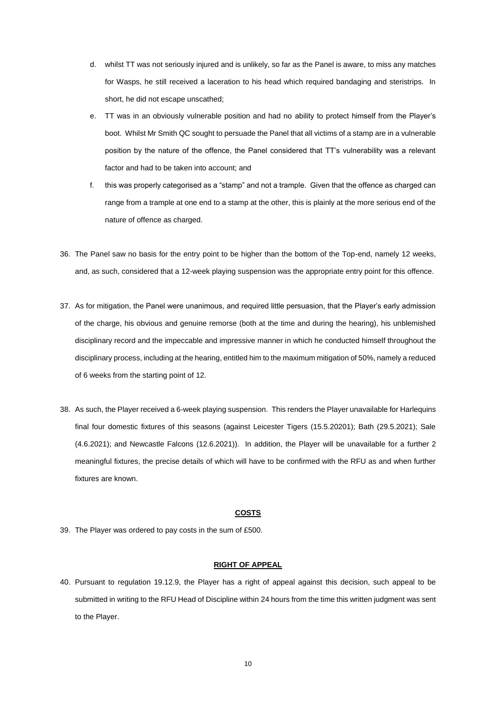- d. whilst TT was not seriously injured and is unlikely, so far as the Panel is aware, to miss any matches for Wasps, he still received a laceration to his head which required bandaging and steristrips. In short, he did not escape unscathed;
- e. TT was in an obviously vulnerable position and had no ability to protect himself from the Player's boot. Whilst Mr Smith QC sought to persuade the Panel that all victims of a stamp are in a vulnerable position by the nature of the offence, the Panel considered that TT's vulnerability was a relevant factor and had to be taken into account; and
- f. this was properly categorised as a "stamp" and not a trample. Given that the offence as charged can range from a trample at one end to a stamp at the other, this is plainly at the more serious end of the nature of offence as charged.
- 36. The Panel saw no basis for the entry point to be higher than the bottom of the Top-end, namely 12 weeks, and, as such, considered that a 12-week playing suspension was the appropriate entry point for this offence.
- 37. As for mitigation, the Panel were unanimous, and required little persuasion, that the Player's early admission of the charge, his obvious and genuine remorse (both at the time and during the hearing), his unblemished disciplinary record and the impeccable and impressive manner in which he conducted himself throughout the disciplinary process, including at the hearing, entitled him to the maximum mitigation of 50%, namely a reduced of 6 weeks from the starting point of 12.
- 38. As such, the Player received a 6-week playing suspension. This renders the Player unavailable for Harlequins final four domestic fixtures of this seasons (against Leicester Tigers (15.5.20201); Bath (29.5.2021); Sale (4.6.2021); and Newcastle Falcons (12.6.2021)). In addition, the Player will be unavailable for a further 2 meaningful fixtures, the precise details of which will have to be confirmed with the RFU as and when further fixtures are known.

### **COSTS**

39. The Player was ordered to pay costs in the sum of £500.

#### **RIGHT OF APPEAL**

40. Pursuant to regulation 19.12.9, the Player has a right of appeal against this decision, such appeal to be submitted in writing to the RFU Head of Discipline within 24 hours from the time this written judgment was sent to the Player.